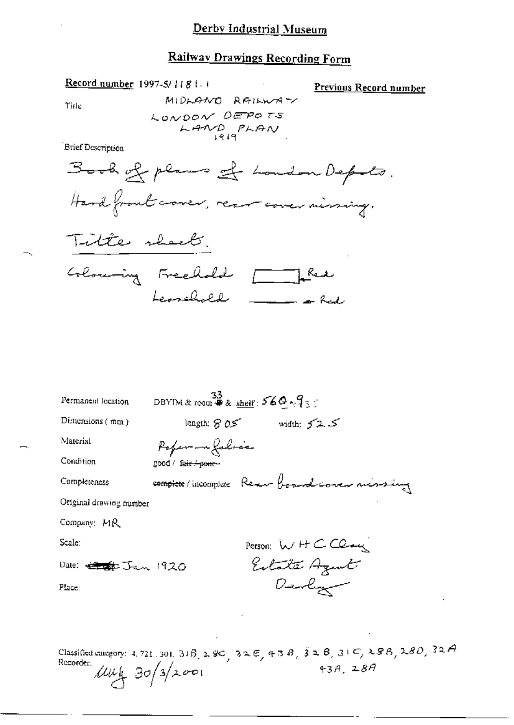## **Railway Drawings Recording Form**

Record number 1997-5/1181 (

Previous Record number

Title

MIDLAND RAILWAY LONDON DEPOTS  $L$ AND PLAN

Brief Description





| Permanent location                 | $\frac{33}{25}$ DBYIM & room # & shelf: 560 $\sqrt{3}$ : |
|------------------------------------|----------------------------------------------------------|
| Dimensions $(mn)$                  | length: $S$ 0.5<br>ك 2ك midth: ح                         |
| Material                           | Poper m folice                                           |
| Condition                          | good / fa <del>ir / pour -</del>                         |
| Completeness                       | complete/incomplete Rear board corer missing             |
| Original drawing number            |                                                          |
| Company: MR                        |                                                          |
| Scale:                             | Person: $W$ H $C$ $C$                                    |
| Dale: <del>electo</del> r Jan 1920 | Eilate Azent                                             |
| Place:                             | Denlym                                                   |
|                                    |                                                          |
|                                    |                                                          |

Classified category: 4, 721, 301, 316, 280, 326, 326, 438, 328, 326, 288, 280, 32A Recorder:  $\mu\mu$  30/3/2001  $43A, 28A$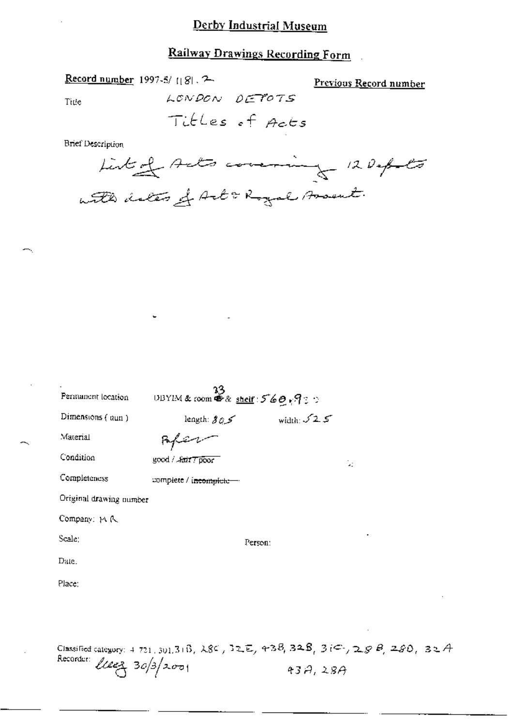## Railway Drawings Recording Form

# Record number 1997-5/1181.2

Previous Record number

Title

LONDON DETOTS

**Brief Description** 



| Dimensions $($ aun)     | length: $\mathcal{S} \oslash \mathcal{S}'$ | width: $52.5$                                                                |  |
|-------------------------|--------------------------------------------|------------------------------------------------------------------------------|--|
| Material                |                                            |                                                                              |  |
| Condition               | good / fair 7 poor                         | ù.                                                                           |  |
| Completeness            | complete / i <del>ncomplete -</del>        |                                                                              |  |
| Original drawing number |                                            |                                                                              |  |
| Company: MR             |                                            |                                                                              |  |
| Scale:                  |                                            | Person:                                                                      |  |
| Date.                   |                                            |                                                                              |  |
| Place:                  |                                            |                                                                              |  |
|                         |                                            |                                                                              |  |
|                         |                                            |                                                                              |  |
|                         |                                            | Classified category: 4 721, 301, 31B, 28C, 32E, 43B, 32B, 3iC, 28B, 28D, 32A |  |

 $43A,28A$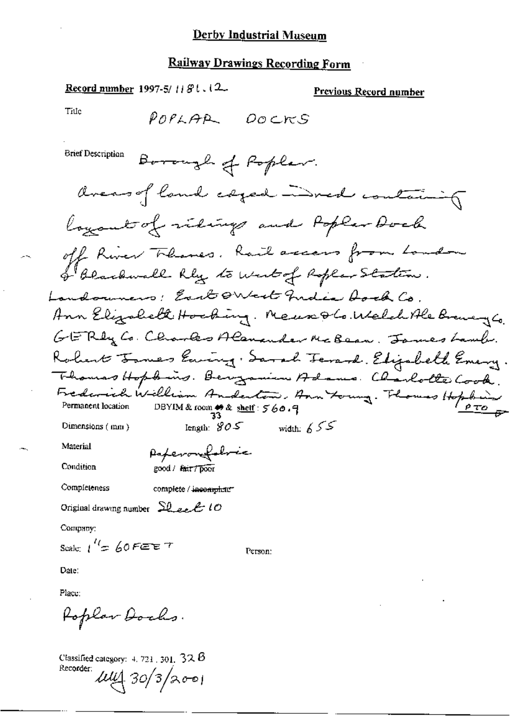# **Railway Drawings Recording Form**

Record number 1997-5/1181.12

#### Previous Record number

Title

**Brief Description** 

Poperonfolocia good / fair / poor

Completeness

Material

Condition

complete / incomplete"

Original drawing number  $SL$  act 10

Company:

Scale:  $1^{\prime\prime}$  = 60 FEET

Person:

Date:

Place:

Poplar Dochs.

Classified category:  $4, 721, 301, 32, 6$ Recorder: 114 30/3/2001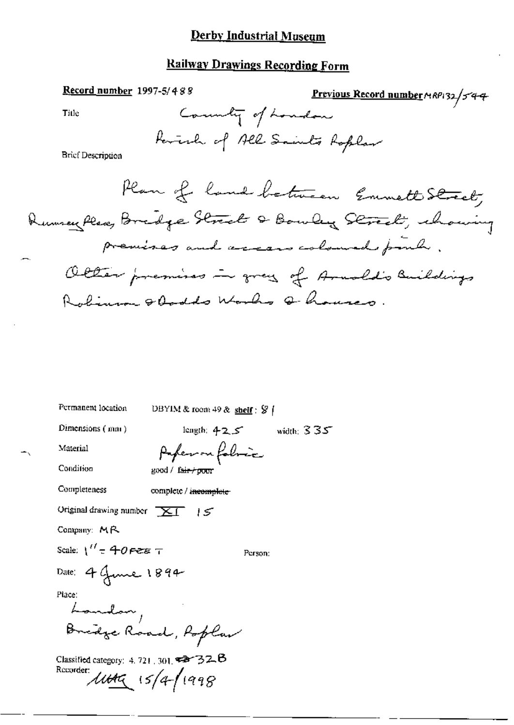## **Railway Drawings Recording Form**

Record number 1997-5/488 Previous Record number 14RP132/544 County of London Title Reverly of All Saints Roplan **Brief Description** Plan of land between Emmett Street, Rumen Place, Bridge Street & Bowley Street, whouing premises and access coloured poul.

Olter premises in grey of Arnold's Buildings Robinson & Oadds Works Q houses.

Permanent location

DBYIM & room 49 & shelf:  $\frac{1}{2}$  /

Dimensions (mm)

length:  $425$  width:  $335$ 

Person:

Material Condition

Anferron folimic good / fair / poor

Completeness

complete / incomplete

Original drawing number  $\overline{X}$  [  $\overline{S}$ 

Company: MR

Scale:  $1'' = 40$  Pete T

Date: 4 June 1894

Place:

Landon, Bridge Road, Roplan

Classified category: 4, 721, 301,  $\blacktriangledown$  32.8 Recorder: 1144 15/4-1998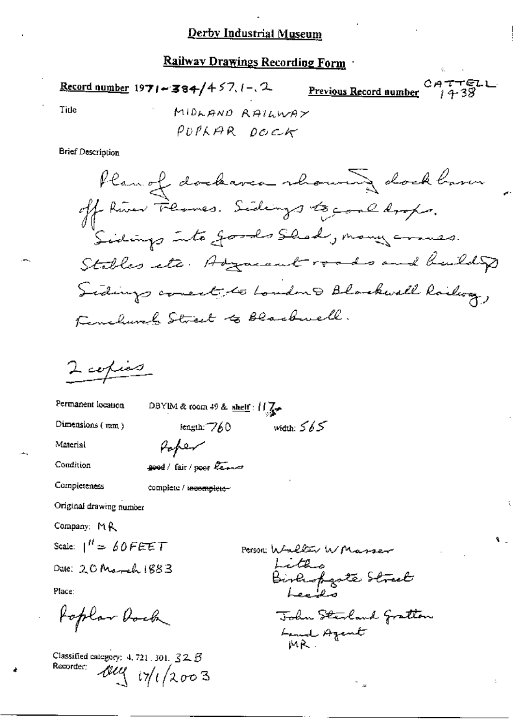Railway Drawings Recording Form

ነተተፍレ Record number 1971 - 384/457.1-2 Previous Record number Title MIDLAND RAILWAY PUPLAR DOCK

Brief Description

Plan of dockarea showing dockbarn off River Flames. Sidings to good drops. Sidings into goods Shad, many crows. Stables etc. Adjacent roads and build Sidings conect to London & Blackwell Railway, Kenelures Street to Blackwell.

 $2$  copies

Permanent location DBYIM & room 49 & shelf:  $||\nabla \cdot$ width:  $565$ Dimensions  $(mm)$ length: 760

Material

Condition

Completeness

good/fair/poor leave

Poper

complete / incomplete-

Original drawing number

Company: MR

Scale:  $1'' = 60$ FEET

Date:  $20$  March  $1883$ 

Place:

Poplar Dock

Classified category: 4, 721, 301,  $32.5$ Recorder:  $444/17/12003$ 

Person: Walter WMasser Lite Birliopgate Street John Steiland Gratton Land Azent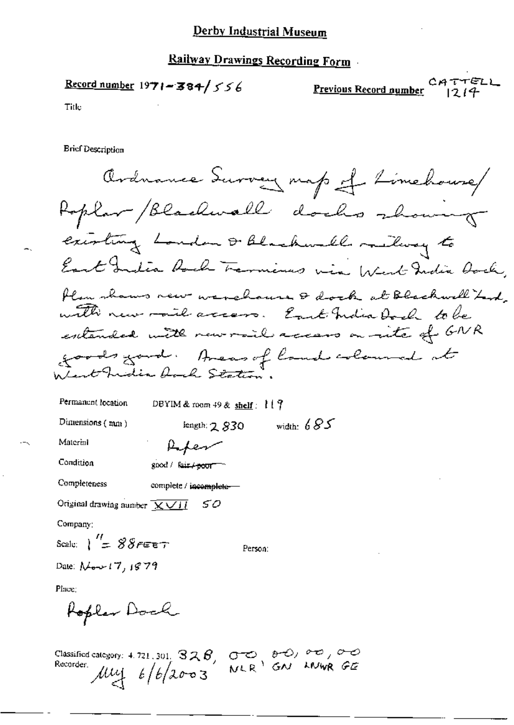## Railway Drawings Recording Form

Record number 1971-384/556

Previous Record number

CATTELL

Title

**Ericf Description** 

Ardnance Survey map of Limehouse Roplar / Blackwall docks showing existing London & Blackwell milway to East India Roch Termines wia West India Oach, Plan shows new warehouse & dock at Blackwell Last with new mount access. East India Dock to be extended with new rail access on rate of GNR goods good. Areas of land coloured at Lent India hoch Station.

Permanent location DBYIM & room  $49$  & shelf:  $117$ length;  $2,830$  width:  $685$ Dimensions  $(mn)$ Material **Lifen** Condition good / fair / poor Completeness complete / incomplete-Original drawing number  $\sqrt{\frac{1}{2} \sqrt{\frac{1}{2}} \sqrt{\frac{1}{2}} \sqrt{\frac{1}{2}} \sqrt{\frac{1}{2}} \sqrt{\frac{1}{2}} \sqrt{\frac{1}{2}} \sqrt{\frac{1}{2}} \sqrt{\frac{1}{2}} \sqrt{\frac{1}{2}} \sqrt{\frac{1}{2}} \sqrt{\frac{1}{2}} \sqrt{\frac{1}{2}} \sqrt{\frac{1}{2}} \sqrt{\frac{1}{2}} \sqrt{\frac{1}{2}} \sqrt{\frac{1}{2}} \sqrt{\frac{1}{2}} \sqrt{\frac{1}{2}} \sqrt{\frac{1}{2}} \sqrt{\frac{1}{2}} \sqrt{\frac{1}{$ 50

Company:

Scale:  $\frac{1}{2}$   $\frac{88}{55}$   $\epsilon$ Person:

Date:  $N_{\sigma}$ +17, 1879

Place:

Roplar Dock

Classified category: 4.721.301.  $328$ ,  $000$ ,  $000$ ,  $000$ ,  $000$ ,  $000$ ,  $000$ , Recorder.<br>Recorder.  $\mu$ ul  $\frac{1}{6}$ / $\frac{1}{6}$ / $\frac{2}{3}$   $0003$  NLR<sup>1</sup> GN LNWR GE Recorder  $\mu$  $\downarrow$   $\downarrow$   $\downarrow$   $\downarrow$   $\downarrow$   $\downarrow$   $\downarrow$   $\downarrow$   $\downarrow$   $\downarrow$   $\downarrow$   $\downarrow$   $\downarrow$   $\downarrow$   $\downarrow$   $\downarrow$   $\downarrow$   $\downarrow$   $\downarrow$   $\downarrow$   $\downarrow$   $\downarrow$   $\downarrow$   $\downarrow$   $\downarrow$   $\downarrow$   $\downarrow$   $\downarrow$   $\downarrow$   $\downarrow$   $\downarrow$   $\downarrow$   $\downarrow$   $\downarrow$   $\downarrow$